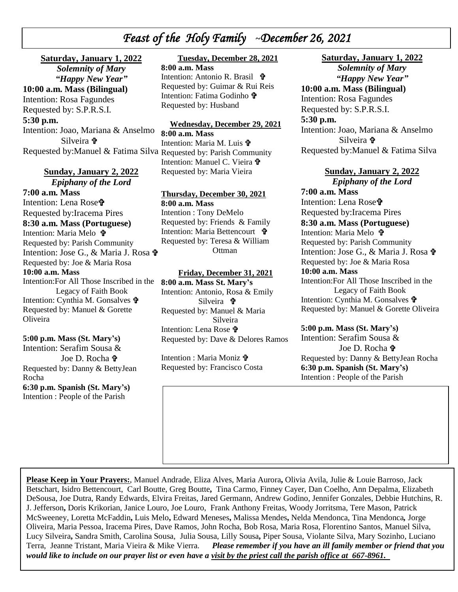# *Feast of the Holy Family* **~***December 26, 2021*

 *\* Intention: Rosa Fagundes **Saturday, January 1, 2022** *Solemnity of Mary "Happy New Year"* **10:00 a.m. Mass (Bilingual)** Requested by: S.P.R.S.I. **5:30 p.m.** Intention: Joao, Mariana & Anselmo Silveira

# **Sunday, January 2, 2022**

*Epiphany of the Lord* **7:00 a.m. Mass** Intention: Lena Rose<sup>t</sup> Requested by:Iracema Pires **8:30 a.m. Mass (Portuguese)** Intention: Maria Melo 宁 Requested by: Parish Community Intention: Jose G., & Maria J. Rosa  $\mathbf{\hat{r}}$ Requested by: Joe & Maria Rosa **10:00 a.m. Mass**  Intention:For All Those Inscribed in the Legacy of Faith Book Intention: Cynthia M. Gonsalves Requested by: Manuel & Gorette Oliveira

#### **5:00 p.m. Mass (St. Mary's)**

Intention: Serafim Sousa & Joe D. Rocha Requested by: Danny & BettyJean Rocha **6:30 p.m. Spanish (St. Mary's)** Intention : People of the Parish

## **Tuesday, December 28, 2021**

**8:00 a.m. Mass** Intention: Antonio R. Brasil Requested by: Guimar & Rui Reis Intention: Fatima Godinho Requested by: Husband

#### **Wednesday, December 29, 2021**

Requested by:Manuel & Fatima Silva Requested by: Parish Community **8:00 a.m. Mass** Intention: Maria M. Luis  $\mathbf{\hat{\Psi}}$ Intention: Manuel C. Vieira Requested by: Maria Vieira

#### **Thursday, December 30, 2021**

**8:00 a.m. Mass** Intention : Tony DeMelo Requested by: Friends & Family Intention: Maria Bettencourt Requested by: Teresa & William **Ottman** 

#### **Friday, December 31, 2021**

**8:00 a.m. Mass St. Mary's** Intention: Antonio, Rosa & Emily Silveira Requested by: Manuel & Maria Silveira Intention: Lena Rose Requested by: Dave & Delores Ramos

Intention : Maria Moniz Requested by: Francisco Costa

#### **Saturday, January 1, 2022** *Solemnity of Mary*

*"Happy New Year"* **10:00 a.m. Mass (Bilingual)**  Intention: Rosa Fagundes Requested by: S.P.R.S.I. **5:30 p.m.** Intention: Joao, Mariana & Anselmo

 Silveira Requested by:Manuel & Fatima Silva

#### **Sunday, January 2, 2022**

*Epiphany of the Lord* **7:00 a.m. Mass** Intention: Lena Rose<sup>t</sup> Requested by:Iracema Pires **8:30 a.m. Mass (Portuguese)** Intention: Maria Melo **t** Requested by: Parish Community Intention: Jose G., & Maria J. Rosa Requested by: Joe & Maria Rosa **10:00 a.m. Mass**  Intention:For All Those Inscribed in the Legacy of Faith Book Intention: Cynthia M. Gonsalves Requested by: Manuel & Gorette Oliveira

#### **5:00 p.m. Mass (St. Mary's)**

Intention: Serafim Sousa & Joe D. Rocha Requested by: Danny & BettyJean Rocha **6:30 p.m. Spanish (St. Mary's)** Intention : People of the Parish

**Please Keep in Your Prayers:**, Manuel Andrade, Eliza Alves, Maria Aurora**,** Olivia Avila, Julie & Louie Barroso, Jack Betschart, Isidro Bettencourt, Carl Boutte, Greg Boutte**,** Tina Carmo, Finney Cayer, Dan Coelho, Ann Depalma, Elizabeth DeSousa, Joe Dutra, Randy Edwards, Elvira Freitas, Jared Germann, Andrew Godino, Jennifer Gonzales, Debbie Hutchins, R. J. Jefferson**,** Doris Krikorian, Janice Louro, Joe Louro, Frank Anthony Freitas, Woody Jorritsma, Tere Mason, Patrick McSweeney, Loretta McFaddin**,** Luis Melo**,** Edward Meneses**,** Malissa Mendes**,** Nelda Mendonca, Tina Mendonca*,* Jorge Oliveira, Maria Pessoa, Iracema Pires, Dave Ramos, John Rocha, Bob Rosa, Maria Rosa, Florentino Santos, Manuel Silva, Lucy Silveira**,** Sandra Smith, Carolina Sousa, Julia Sousa, Lilly Sousa**,** Piper Sousa, Violante Silva, Mary Sozinho, Luciano Terra, Jeanne Tristant, Maria Vieira & Mike Vierra. *Please remember if you have an ill family member or friend that you would like to include on our prayer list or even have a visit by the priest call the parish office at 667-8961.*